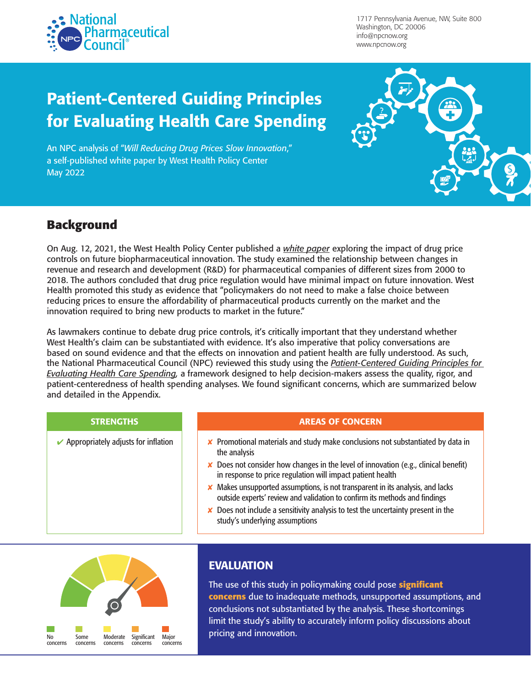

1717 Pennsylvania Avenue, NW, Suite 800 Washington, DC 20006 [info@npcnow.org](https://www.youtube.com/user/npcnow) www.npcnow.org

# Patient-Centered Guiding Principles for Evaluating Health Care Spending

An NPC analysis of "*[Will Reducing Drug Prices Slow Innovation](https://scholars.bentley.edu/cgi/viewcontent.cgi?article=1002&context=sci_industry)*," a self-published white paper by West Health Policy Center May 2022



## **Background**

On Aug. 12, 2021, the West Health Policy Center published a *[white paper](https://uploads-ssl.webflow.com/5e59d7f99e288f91abe20b9f/6113d44897d71d1583ef998a_Bentley.pdf)* exploring the impact of drug price controls on future biopharmaceutical innovation. The study examined the relationship between changes in revenue and research and development (R&D) for pharmaceutical companies of different sizes from 2000 to 2018. The authors concluded that drug price regulation would have minimal impact on future innovation. West Health promoted this study as evidence that "policymakers do not need to make a false choice between reducing prices to ensure the affordability of pharmaceutical products currently on the market and the innovation required to bring new products to market in the future."

As lawmakers continue to debate drug price controls, it's critically important that they understand whether West Health's claim can be substantiated with evidence. It's also imperative that policy conversations are based on sound evidence and that the effects on innovation and patient health are fully understood. As such, the National Pharmaceutical Council (NPC) reviewed this study using the *[Patient-Centered Guiding Principles for](https://www.npcnow.org/resources/patient-centered-guiding-principles-evaluating-health-care-spending)  [Evaluating Health Care Spending](https://www.npcnow.org/resources/patient-centered-guiding-principles-evaluating-health-care-spending),* a framework designed to help decision-makers assess the quality, rigor, and patient-centeredness of health spending analyses. We found significant concerns, which are summarized below and detailed in the Appendix.

#### STRENGTHS AREAS OF CONCERN

- Appropriately adjusts for inflation  $\parallel$  **X** Promotional materials and study make conclusions not substantiated by data in the analysis
	- $\boldsymbol{\times}$  Does not consider how changes in the level of innovation (e.g., clinical benefit) in response to price regulation will impact patient health
	- $\times$  Makes unsupported assumptions, is not transparent in its analysis, and lacks outside experts' review and validation to confirm its methods and findings
	- $\boldsymbol{\times}$  Does not include a sensitivity analysis to test the uncertainty present in the study's underlying assumptions



### EVALUATION

The use of this study in policymaking could pose **significant concerns** due to inadequate methods, unsupported assumptions, and conclusions not substantiated by the analysis. These shortcomings limit the study's ability to accurately inform policy discussions about pricing and innovation.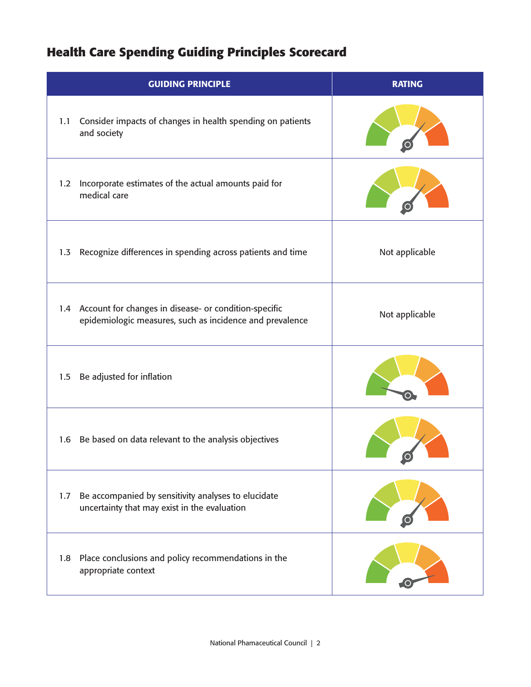# **Health Care Spending Guiding Principles Scorecard**

| <b>GUIDING PRINCIPLE</b>                                                                                              | <b>RATING</b>  |
|-----------------------------------------------------------------------------------------------------------------------|----------------|
| Consider impacts of changes in health spending on patients<br>1.1<br>and society                                      |                |
| Incorporate estimates of the actual amounts paid for<br>1.2<br>medical care                                           |                |
| Recognize differences in spending across patients and time<br>1.3                                                     | Not applicable |
| 1.4 Account for changes in disease- or condition-specific<br>epidemiologic measures, such as incidence and prevalence | Not applicable |
| Be adjusted for inflation<br>1.5                                                                                      |                |
| 1.6 Be based on data relevant to the analysis objectives                                                              |                |
| Be accompanied by sensitivity analyses to elucidate<br>1.7<br>uncertainty that may exist in the evaluation            |                |
| Place conclusions and policy recommendations in the<br>1.8<br>appropriate context                                     |                |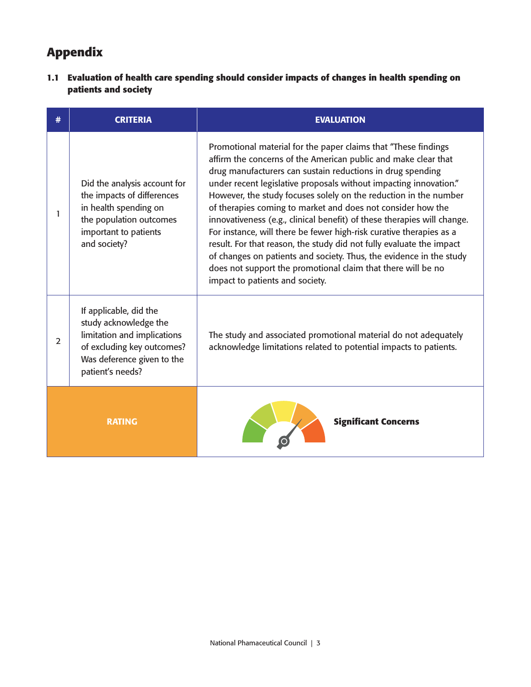## **Appendix**

**1.1 Evaluation of health care spending should consider impacts of changes in health spending on patients and society** 

| #                                            | <b>CRITERIA</b>                                                                                                                                                | <b>EVALUATION</b>                                                                                                                                                                                                                                                                                                                                                                                                                                                                                                                                                                                                                                                                                                                                                                                          |
|----------------------------------------------|----------------------------------------------------------------------------------------------------------------------------------------------------------------|------------------------------------------------------------------------------------------------------------------------------------------------------------------------------------------------------------------------------------------------------------------------------------------------------------------------------------------------------------------------------------------------------------------------------------------------------------------------------------------------------------------------------------------------------------------------------------------------------------------------------------------------------------------------------------------------------------------------------------------------------------------------------------------------------------|
| 1                                            | Did the analysis account for<br>the impacts of differences<br>in health spending on<br>the population outcomes<br>important to patients<br>and society?        | Promotional material for the paper claims that "These findings<br>affirm the concerns of the American public and make clear that<br>drug manufacturers can sustain reductions in drug spending<br>under recent legislative proposals without impacting innovation."<br>However, the study focuses solely on the reduction in the number<br>of therapies coming to market and does not consider how the<br>innovativeness (e.g., clinical benefit) of these therapies will change.<br>For instance, will there be fewer high-risk curative therapies as a<br>result. For that reason, the study did not fully evaluate the impact<br>of changes on patients and society. Thus, the evidence in the study<br>does not support the promotional claim that there will be no<br>impact to patients and society. |
| $\overline{2}$                               | If applicable, did the<br>study acknowledge the<br>limitation and implications<br>of excluding key outcomes?<br>Was deference given to the<br>patient's needs? | The study and associated promotional material do not adequately<br>acknowledge limitations related to potential impacts to patients.                                                                                                                                                                                                                                                                                                                                                                                                                                                                                                                                                                                                                                                                       |
| <b>Significant Concerns</b><br><b>RATING</b> |                                                                                                                                                                |                                                                                                                                                                                                                                                                                                                                                                                                                                                                                                                                                                                                                                                                                                                                                                                                            |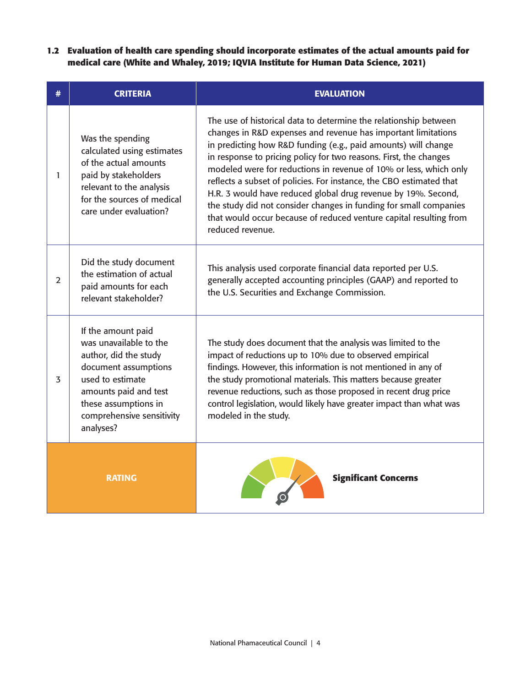**1.2 Evaluation of health care spending should incorporate estimates of the actual amounts paid for medical care (White and Whaley, 2019; IQVIA Institute for Human Data Science, 2021)** 

| # | <b>CRITERIA</b>                                                                                                                                                                                              | <b>EVALUATION</b>                                                                                                                                                                                                                                                                                                                                                                                                                                                                                                                                                                                                                                    |
|---|--------------------------------------------------------------------------------------------------------------------------------------------------------------------------------------------------------------|------------------------------------------------------------------------------------------------------------------------------------------------------------------------------------------------------------------------------------------------------------------------------------------------------------------------------------------------------------------------------------------------------------------------------------------------------------------------------------------------------------------------------------------------------------------------------------------------------------------------------------------------------|
| 1 | Was the spending<br>calculated using estimates<br>of the actual amounts<br>paid by stakeholders<br>relevant to the analysis<br>for the sources of medical<br>care under evaluation?                          | The use of historical data to determine the relationship between<br>changes in R&D expenses and revenue has important limitations<br>in predicting how R&D funding (e.g., paid amounts) will change<br>in response to pricing policy for two reasons. First, the changes<br>modeled were for reductions in revenue of 10% or less, which only<br>reflects a subset of policies. For instance, the CBO estimated that<br>H.R. 3 would have reduced global drug revenue by 19%. Second,<br>the study did not consider changes in funding for small companies<br>that would occur because of reduced venture capital resulting from<br>reduced revenue. |
| 2 | Did the study document<br>the estimation of actual<br>paid amounts for each<br>relevant stakeholder?                                                                                                         | This analysis used corporate financial data reported per U.S.<br>generally accepted accounting principles (GAAP) and reported to<br>the U.S. Securities and Exchange Commission.                                                                                                                                                                                                                                                                                                                                                                                                                                                                     |
| 3 | If the amount paid<br>was unavailable to the<br>author, did the study<br>document assumptions<br>used to estimate<br>amounts paid and test<br>these assumptions in<br>comprehensive sensitivity<br>analyses? | The study does document that the analysis was limited to the<br>impact of reductions up to 10% due to observed empirical<br>findings. However, this information is not mentioned in any of<br>the study promotional materials. This matters because greater<br>revenue reductions, such as those proposed in recent drug price<br>control legislation, would likely have greater impact than what was<br>modeled in the study.                                                                                                                                                                                                                       |
|   | <b>RATING</b>                                                                                                                                                                                                | <b>Significant Concerns</b>                                                                                                                                                                                                                                                                                                                                                                                                                                                                                                                                                                                                                          |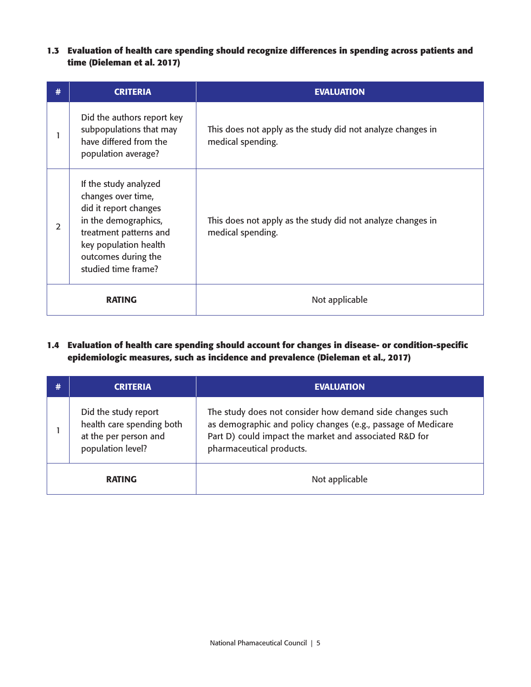**1.3 Evaluation of health care spending should recognize differences in spending across patients and time (Dieleman et al. 2017)**

| #             | <b>CRITERIA</b>                                                                                                                                                                               | <b>EVALUATION</b>                                                                |
|---------------|-----------------------------------------------------------------------------------------------------------------------------------------------------------------------------------------------|----------------------------------------------------------------------------------|
|               | Did the authors report key<br>subpopulations that may<br>have differed from the<br>population average?                                                                                        | This does not apply as the study did not analyze changes in<br>medical spending. |
| 2             | If the study analyzed<br>changes over time,<br>did it report changes<br>in the demographics,<br>treatment patterns and<br>key population health<br>outcomes during the<br>studied time frame? | This does not apply as the study did not analyze changes in<br>medical spending. |
| <b>RATING</b> |                                                                                                                                                                                               | Not applicable                                                                   |

**1.4 Evaluation of health care spending should account for changes in disease- or condition-specific epidemiologic measures, such as incidence and prevalence (Dieleman et al., 2017)**

|               | <b>CRITERIA</b>                                                                                 | <b>EVALUATION</b>                                                                                                                                                                                              |
|---------------|-------------------------------------------------------------------------------------------------|----------------------------------------------------------------------------------------------------------------------------------------------------------------------------------------------------------------|
|               | Did the study report<br>health care spending both<br>at the per person and<br>population level? | The study does not consider how demand side changes such<br>as demographic and policy changes (e.g., passage of Medicare<br>Part D) could impact the market and associated R&D for<br>pharmaceutical products. |
| <b>RATING</b> |                                                                                                 | Not applicable                                                                                                                                                                                                 |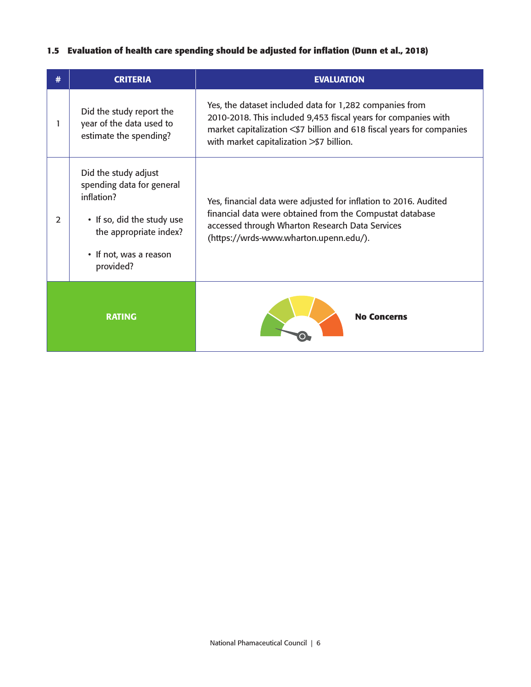#### **1.5 Evaluation of health care spending should be adjusted for inflation (Dunn et al., 2018)**

|               | <b>CRITERIA</b>                                                                                                                                                | <b>EVALUATION</b>                                                                                                                                                                                                                                |
|---------------|----------------------------------------------------------------------------------------------------------------------------------------------------------------|--------------------------------------------------------------------------------------------------------------------------------------------------------------------------------------------------------------------------------------------------|
|               | Did the study report the<br>year of the data used to<br>estimate the spending?                                                                                 | Yes, the dataset included data for 1,282 companies from<br>2010-2018. This included 9,453 fiscal years for companies with<br>market capitalization < \$7 billion and 618 fiscal years for companies<br>with market capitalization > \$7 billion. |
| $\mathcal{L}$ | Did the study adjust<br>spending data for general<br>inflation?<br>• If so, did the study use<br>the appropriate index?<br>• If not, was a reason<br>provided? | Yes, financial data were adjusted for inflation to 2016. Audited<br>financial data were obtained from the Compustat database<br>accessed through Wharton Research Data Services<br>(https://wrds-www.wharton.upenn.edu/).                        |
| <b>RATING</b> |                                                                                                                                                                | <b>No Concerns</b>                                                                                                                                                                                                                               |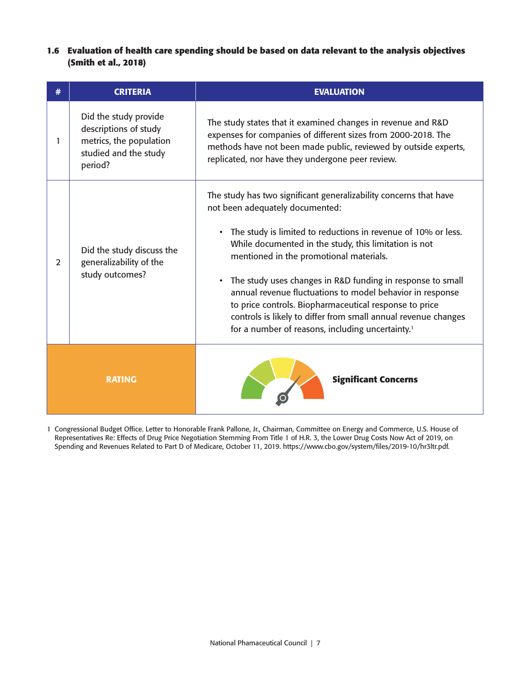**1.6 Evaluation of health care spending should be based on data relevant to the analysis objectives (Smith et al., 2018)**

|               | <b>CRITERIA</b>                                                                                               | <b>EVALUATION</b>                                                                                                                                                                                                                                                                                                                                                                                                                                                                                                                                                                                               |
|---------------|---------------------------------------------------------------------------------------------------------------|-----------------------------------------------------------------------------------------------------------------------------------------------------------------------------------------------------------------------------------------------------------------------------------------------------------------------------------------------------------------------------------------------------------------------------------------------------------------------------------------------------------------------------------------------------------------------------------------------------------------|
| 1             | Did the study provide<br>descriptions of study<br>metrics, the population<br>studied and the study<br>period? | The study states that it examined changes in revenue and R&D<br>expenses for companies of different sizes from 2000-2018. The<br>methods have not been made public, reviewed by outside experts,<br>replicated, nor have they undergone peer review.                                                                                                                                                                                                                                                                                                                                                            |
| 2             | Did the study discuss the<br>generalizability of the<br>study outcomes?                                       | The study has two significant generalizability concerns that have<br>not been adequately documented:<br>• The study is limited to reductions in revenue of 10% or less.<br>While documented in the study, this limitation is not<br>mentioned in the promotional materials.<br>The study uses changes in R&D funding in response to small<br>$\bullet$<br>annual revenue fluctuations to model behavior in response<br>to price controls. Biopharmaceutical response to price<br>controls is likely to differ from small annual revenue changes<br>for a number of reasons, including uncertainty. <sup>1</sup> |
| <b>RATING</b> |                                                                                                               | <b>Significant Concerns</b>                                                                                                                                                                                                                                                                                                                                                                                                                                                                                                                                                                                     |

1 Congressional Budget Office. Letter to Honorable Frank Pallone, Jr., Chairman, Committee on Energy and Commerce, U.S. House of Representatives Re: Effects of Drug Price Negotiation Stemming From Title 1 of H.R. 3, the Lower Drug Costs Now Act of 2019, on Spending and Revenues Related to Part D of Medicare, October 11, 2019. [https://www.cbo.gov/system/files/2019-10/hr3ltr.pdf.](https://www.cbo.gov/system/files/2019-10/hr3ltr.pdf)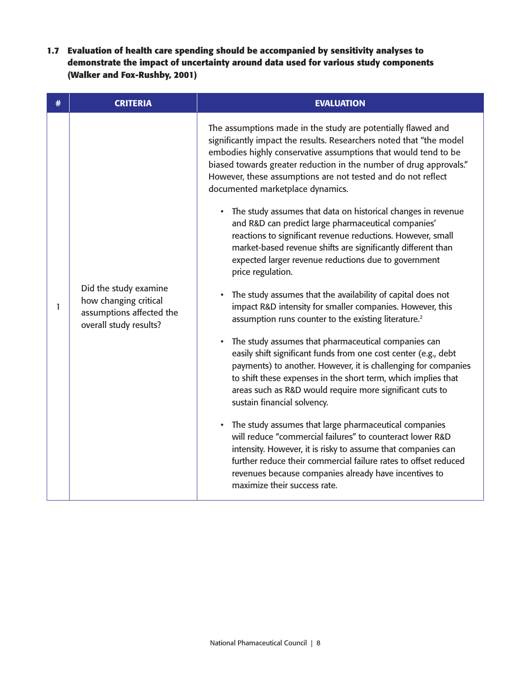**1.7 Evaluation of health care spending should be accompanied by sensitivity analyses to demonstrate the impact of uncertainty around data used for various study components (Walker and Fox-Rushby, 2001)**

| # | <b>CRITERIA</b>                                                                                      | <b>EVALUATION</b>                                                                                                                                                                                                                                                                                                                                                               |
|---|------------------------------------------------------------------------------------------------------|---------------------------------------------------------------------------------------------------------------------------------------------------------------------------------------------------------------------------------------------------------------------------------------------------------------------------------------------------------------------------------|
| 1 |                                                                                                      | The assumptions made in the study are potentially flawed and<br>significantly impact the results. Researchers noted that "the model<br>embodies highly conservative assumptions that would tend to be<br>biased towards greater reduction in the number of drug approvals."<br>However, these assumptions are not tested and do not reflect<br>documented marketplace dynamics. |
|   |                                                                                                      | • The study assumes that data on historical changes in revenue<br>and R&D can predict large pharmaceutical companies'<br>reactions to significant revenue reductions. However, small<br>market-based revenue shifts are significantly different than<br>expected larger revenue reductions due to government<br>price regulation.                                               |
|   | Did the study examine<br>how changing critical<br>assumptions affected the<br>overall study results? | The study assumes that the availability of capital does not<br>impact R&D intensity for smaller companies. However, this<br>assumption runs counter to the existing literature. <sup>2</sup>                                                                                                                                                                                    |
|   |                                                                                                      | The study assumes that pharmaceutical companies can<br>easily shift significant funds from one cost center (e.g., debt<br>payments) to another. However, it is challenging for companies<br>to shift these expenses in the short term, which implies that<br>areas such as R&D would require more significant cuts to<br>sustain financial solvency.                            |
|   |                                                                                                      | • The study assumes that large pharmaceutical companies<br>will reduce "commercial failures" to counteract lower R&D<br>intensity. However, it is risky to assume that companies can<br>further reduce their commercial failure rates to offset reduced<br>revenues because companies already have incentives to<br>maximize their success rate.                                |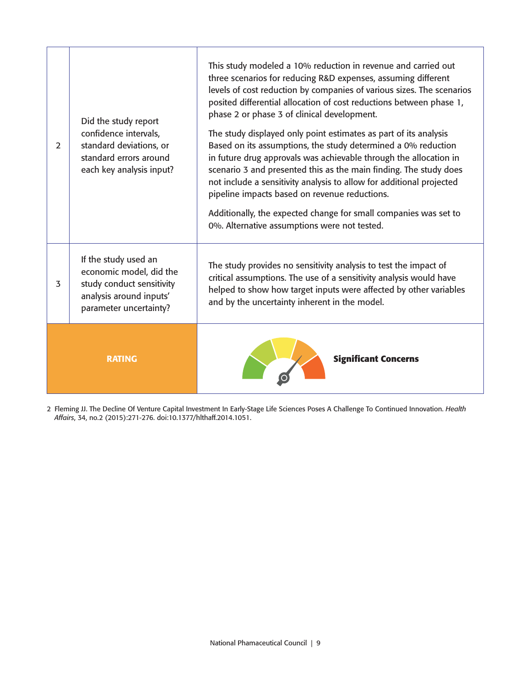| $\overline{2}$ | Did the study report<br>confidence intervals,<br>standard deviations, or<br>standard errors around<br>each key analysis input?    | This study modeled a 10% reduction in revenue and carried out<br>three scenarios for reducing R&D expenses, assuming different<br>levels of cost reduction by companies of various sizes. The scenarios<br>posited differential allocation of cost reductions between phase 1,<br>phase 2 or phase 3 of clinical development.<br>The study displayed only point estimates as part of its analysis<br>Based on its assumptions, the study determined a 0% reduction<br>in future drug approvals was achievable through the allocation in<br>scenario 3 and presented this as the main finding. The study does<br>not include a sensitivity analysis to allow for additional projected<br>pipeline impacts based on revenue reductions.<br>Additionally, the expected change for small companies was set to<br>0%. Alternative assumptions were not tested. |
|----------------|-----------------------------------------------------------------------------------------------------------------------------------|-----------------------------------------------------------------------------------------------------------------------------------------------------------------------------------------------------------------------------------------------------------------------------------------------------------------------------------------------------------------------------------------------------------------------------------------------------------------------------------------------------------------------------------------------------------------------------------------------------------------------------------------------------------------------------------------------------------------------------------------------------------------------------------------------------------------------------------------------------------|
| 3              | If the study used an<br>economic model, did the<br>study conduct sensitivity<br>analysis around inputs'<br>parameter uncertainty? | The study provides no sensitivity analysis to test the impact of<br>critical assumptions. The use of a sensitivity analysis would have<br>helped to show how target inputs were affected by other variables<br>and by the uncertainty inherent in the model.                                                                                                                                                                                                                                                                                                                                                                                                                                                                                                                                                                                              |
|                | <b>RATING</b>                                                                                                                     | <b>Significant Concerns</b>                                                                                                                                                                                                                                                                                                                                                                                                                                                                                                                                                                                                                                                                                                                                                                                                                               |

2 Fleming JJ. The Decline Of Venture Capital Investment In Early-Stage Life Sciences Poses A Challenge To Continued Innovation. *Health Affairs*, 34, no.2 (2015):271-276. doi:10.1377/hlthaff.2014.1051.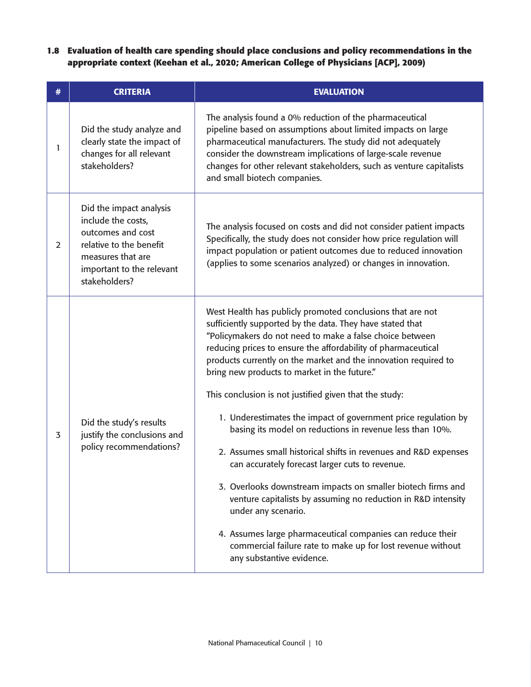**1.8 Evaluation of health care spending should place conclusions and policy recommendations in the appropriate context (Keehan et al., 2020; American College of Physicians [ACP], 2009)**

| # | <b>CRITERIA</b>                                                                                                                                                  | <b>EVALUATION</b>                                                                                                                                                                                                                                                                                                                                                                                                                                                                                                                                                                                                                                                                                                                                                                                                                                                                                                                                                                                       |
|---|------------------------------------------------------------------------------------------------------------------------------------------------------------------|---------------------------------------------------------------------------------------------------------------------------------------------------------------------------------------------------------------------------------------------------------------------------------------------------------------------------------------------------------------------------------------------------------------------------------------------------------------------------------------------------------------------------------------------------------------------------------------------------------------------------------------------------------------------------------------------------------------------------------------------------------------------------------------------------------------------------------------------------------------------------------------------------------------------------------------------------------------------------------------------------------|
| 1 | Did the study analyze and<br>clearly state the impact of<br>changes for all relevant<br>stakeholders?                                                            | The analysis found a 0% reduction of the pharmaceutical<br>pipeline based on assumptions about limited impacts on large<br>pharmaceutical manufacturers. The study did not adequately<br>consider the downstream implications of large-scale revenue<br>changes for other relevant stakeholders, such as venture capitalists<br>and small biotech companies.                                                                                                                                                                                                                                                                                                                                                                                                                                                                                                                                                                                                                                            |
| 2 | Did the impact analysis<br>include the costs,<br>outcomes and cost<br>relative to the benefit<br>measures that are<br>important to the relevant<br>stakeholders? | The analysis focused on costs and did not consider patient impacts<br>Specifically, the study does not consider how price regulation will<br>impact population or patient outcomes due to reduced innovation<br>(applies to some scenarios analyzed) or changes in innovation.                                                                                                                                                                                                                                                                                                                                                                                                                                                                                                                                                                                                                                                                                                                          |
| 3 | Did the study's results<br>justify the conclusions and<br>policy recommendations?                                                                                | West Health has publicly promoted conclusions that are not<br>sufficiently supported by the data. They have stated that<br>"Policymakers do not need to make a false choice between<br>reducing prices to ensure the affordability of pharmaceutical<br>products currently on the market and the innovation required to<br>bring new products to market in the future."<br>This conclusion is not justified given that the study:<br>1. Underestimates the impact of government price regulation by<br>basing its model on reductions in revenue less than 10%.<br>2. Assumes small historical shifts in revenues and R&D expenses<br>can accurately forecast larger cuts to revenue.<br>3. Overlooks downstream impacts on smaller biotech firms and<br>venture capitalists by assuming no reduction in R&D intensity<br>under any scenario.<br>4. Assumes large pharmaceutical companies can reduce their<br>commercial failure rate to make up for lost revenue without<br>any substantive evidence. |